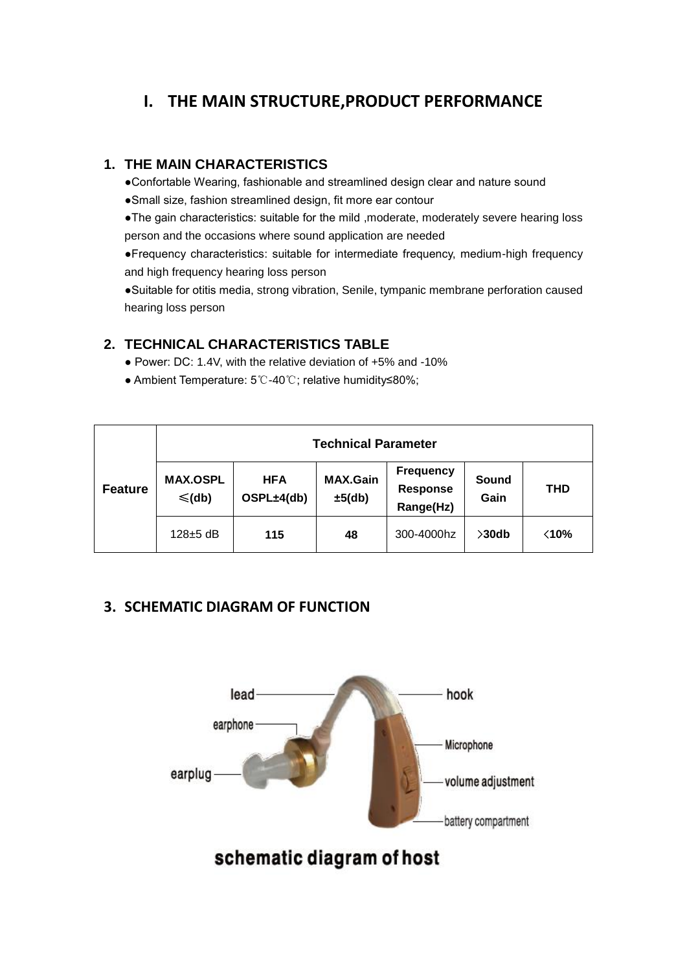# **I. THE MAIN STRUCTURE,PRODUCT PERFORMANCE**

#### **1. THE MAIN CHARACTERISTICS**

●Confortable Wearing, fashionable and streamlined design clear and nature sound

●Small size, fashion streamlined design, fit more ear contour

●The gain characteristics: suitable for the mild ,moderate, moderately severe hearing loss person and the occasions where sound application are needed

●Frequency characteristics: suitable for intermediate frequency, medium-high frequency and high frequency hearing loss person

●Suitable for otitis media, strong vibration, Senile, tympanic membrane perforation caused hearing loss person

#### **2. TECHNICAL CHARACTERISTICS TABLE**

- Power: DC: 1.4V, with the relative deviation of +5% and -10%
- Ambient Temperature: 5℃-40℃; relative humidity≤80%;

|                | <b>Technical Parameter</b>     |                          |                           |                                           |               |                |
|----------------|--------------------------------|--------------------------|---------------------------|-------------------------------------------|---------------|----------------|
| <b>Feature</b> | <b>MAX.OSPL</b><br>$\leq$ (db) | <b>HFA</b><br>OSPL±4(db) | <b>MAX.Gain</b><br>±5(db) | <b>Frequency</b><br>Response<br>Range(Hz) | Sound<br>Gain | <b>THD</b>     |
|                | $128 \pm 5$ dB                 | 115                      | 48                        | 300-4000hz                                | $>30$ db      | $\langle 10\%$ |

### **3. SCHEMATIC DIAGRAM OF FUNCTION**



schematic diagram of host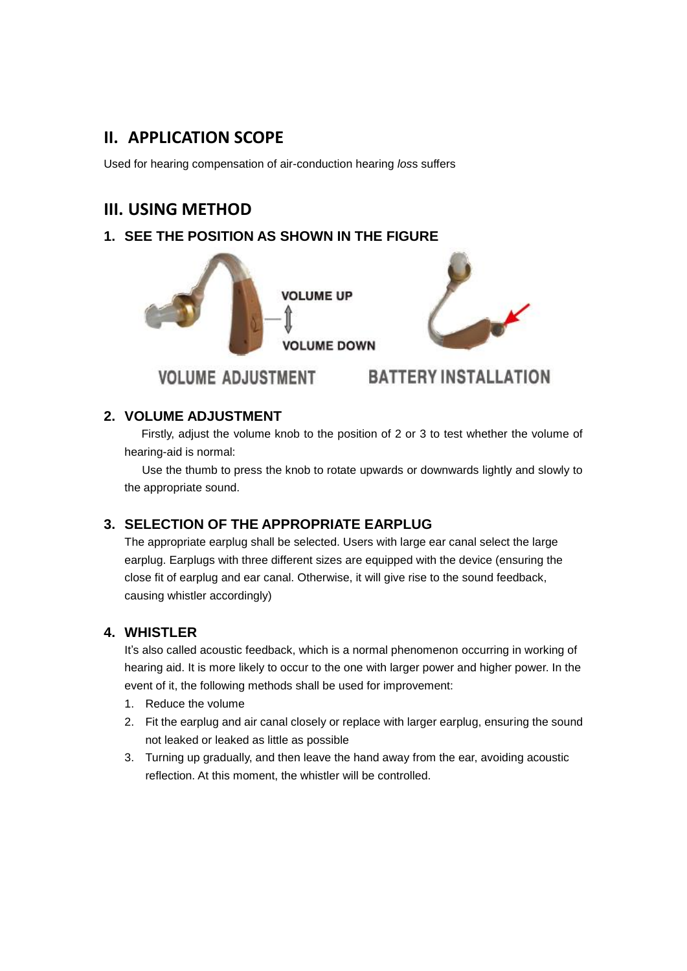## **II. APPLICATION SCOPE**

Used for hearing compensation of air-conduction hearing *los*s suffers

## **III. USING METHOD**

## **1. SEE THE POSITION AS SHOWN IN THE FIGURE**



### **2. VOLUME ADJUSTMENT**

Firstly, adjust the volume knob to the position of 2 or 3 to test whether the volume of hearing-aid is normal:

 Use the thumb to press the knob to rotate upwards or downwards lightly and slowly to the appropriate sound.

### **3. SELECTION OF THE APPROPRIATE EARPLUG**

The appropriate earplug shall be selected. Users with large ear canal select the large earplug. Earplugs with three different sizes are equipped with the device (ensuring the close fit of earplug and ear canal. Otherwise, it will give rise to the sound feedback, causing whistler accordingly)

### **4. WHISTLER**

It's also called acoustic feedback, which is a normal phenomenon occurring in working of hearing aid. It is more likely to occur to the one with larger power and higher power. In the event of it, the following methods shall be used for improvement:

- 1. Reduce the volume
- 2. Fit the earplug and air canal closely or replace with larger earplug, ensuring the sound not leaked or leaked as little as possible
- 3. Turning up gradually, and then leave the hand away from the ear, avoiding acoustic reflection. At this moment, the whistler will be controlled.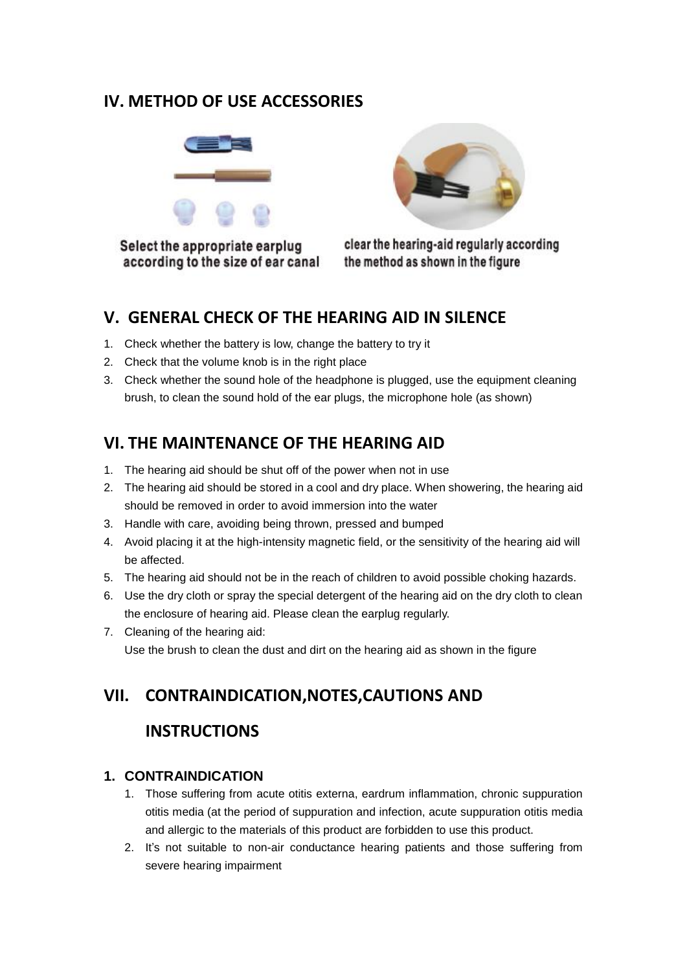## **IV. METHOD OF USE ACCESSORIES**



Select the appropriate earplug according to the size of ear canal



clear the hearing-aid regularly according the method as shown in the figure

## **V. GENERAL CHECK OF THE HEARING AID IN SILENCE**

- 1. Check whether the battery is low, change the battery to try it
- 2. Check that the volume knob is in the right place
- 3. Check whether the sound hole of the headphone is plugged, use the equipment cleaning brush, to clean the sound hold of the ear plugs, the microphone hole (as shown)

# **VI. THE MAINTENANCE OF THE HEARING AID**

- 1. The hearing aid should be shut off of the power when not in use
- 2. The hearing aid should be stored in a cool and dry place. When showering, the hearing aid should be removed in order to avoid immersion into the water
- 3. Handle with care, avoiding being thrown, pressed and bumped
- 4. Avoid placing it at the high-intensity magnetic field, or the sensitivity of the hearing aid will be affected.
- 5. The hearing aid should not be in the reach of children to avoid possible choking hazards.
- 6. Use the dry cloth or spray the special detergent of the hearing aid on the dry cloth to clean the enclosure of hearing aid. Please clean the earplug regularly.
- 7. Cleaning of the hearing aid: Use the brush to clean the dust and dirt on the hearing aid as shown in the figure

# **VII. CONTRAINDICATION,NOTES,CAUTIONS AND**

## **INSTRUCTIONS**

### **1. CONTRAINDICATION**

- 1. Those suffering from acute otitis externa, eardrum inflammation, chronic suppuration otitis media (at the period of suppuration and infection, acute suppuration otitis media and allergic to the materials of this product are forbidden to use this product.
- 2. It's not suitable to non-air conductance hearing patients and those suffering from severe hearing impairment